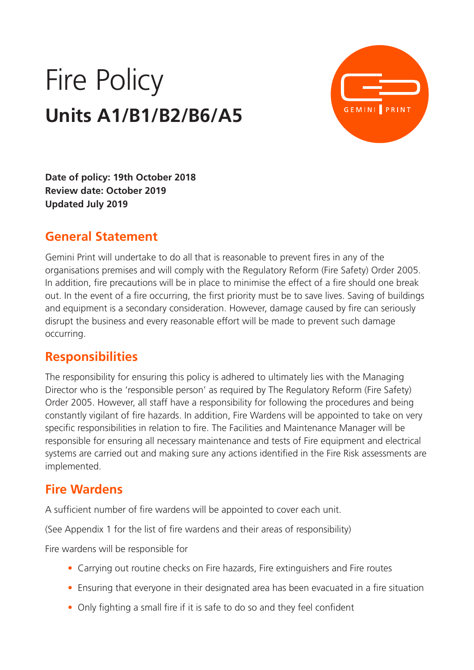# Fire Policy **Units A1/B1/B2/B6/A5**



**Date of policy: 19th October 2018 Review date: October 2019 Updated July 2019** 

#### **General Statement**

Gemini Print will undertake to do all that is reasonable to prevent fires in any of the organisations premises and will comply with the Regulatory Reform (Fire Safety) Order 2005. In addition, fire precautions will be in place to minimise the effect of a fire should one break out. In the event of a fire occurring, the first priority must be to save lives. Saving of buildings and equipment is a secondary consideration. However, damage caused by fire can seriously disrupt the business and every reasonable effort will be made to prevent such damage occurring.

#### **Responsibilities**

The responsibility for ensuring this policy is adhered to ultimately lies with the Managing Director who is the 'responsible person' as required by The Regulatory Reform (Fire Safety) Order 2005. However, all staff have a responsibility for following the procedures and being constantly vigilant of fire hazards. In addition, Fire Wardens will be appointed to take on very specific responsibilities in relation to fire. The Facilities and Maintenance Manager will be responsible for ensuring all necessary maintenance and tests of Fire equipment and electrical systems are carried out and making sure any actions identified in the Fire Risk assessments are implemented.

#### **Fire Wardens**

A sufficient number of fire wardens will be appointed to cover each unit.

(See Appendix 1 for the list of fire wardens and their areas of responsibility)

Fire wardens will be responsible for

- Carrying out routine checks on Fire hazards, Fire extinguishers and Fire routes
- Ensuring that everyone in their designated area has been evacuated in a fire situation
- Only fighting a small fire if it is safe to do so and they feel confident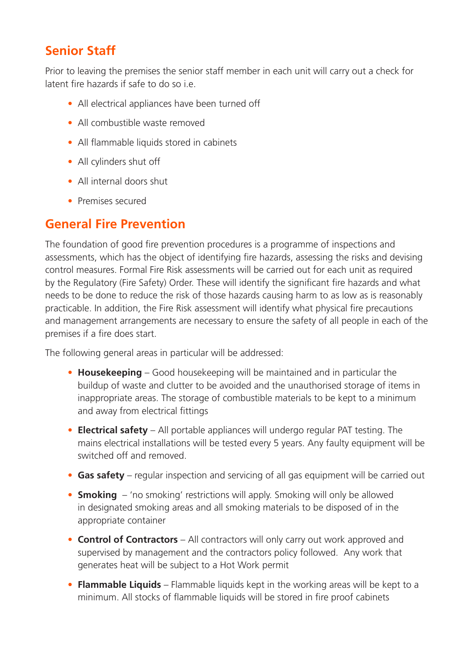## **Senior Staff**

Prior to leaving the premises the senior staff member in each unit will carry out a check for latent fire hazards if safe to do so  $i.e.$ 

- All electrical appliances have been turned off
- All combustible waste removed
- All flammable liquids stored in cabinets
- All cylinders shut off
- All internal doors shut
- Premises secured

#### **General Fire Prevention**

The foundation of good fire prevention procedures is a programme of inspections and assessments, which has the object of identifying fire hazards, assessing the risks and devising control measures. Formal Fire Risk assessments will be carried out for each unit as required by the Regulatory (Fire Safety) Order. These will identify the significant fire hazards and what needs to be done to reduce the risk of those hazards causing harm to as low as is reasonably practicable. In addition, the Fire Risk assessment will identify what physical fire precautions and management arrangements are necessary to ensure the safety of all people in each of the premises if a fire does start.

The following general areas in particular will be addressed:

- **Housekeeping**  Good housekeeping will be maintained and in particular the buildup of waste and clutter to be avoided and the unauthorised storage of items in inappropriate areas. The storage of combustible materials to be kept to a minimum and away from electrical fittings
- **Electrical safety**  All portable appliances will undergo regular PAT testing. The mains electrical installations will be tested every 5 years. Any faulty equipment will be switched off and removed.
- **Gas safety** regular inspection and servicing of all gas equipment will be carried out
- **Smoking**  'no smoking' restrictions will apply. Smoking will only be allowed in designated smoking areas and all smoking materials to be disposed of in the appropriate container
- **Control of Contractors** All contractors will only carry out work approved and supervised by management and the contractors policy followed. Any work that generates heat will be subject to a Hot Work permit
- **Flammable Liquids** Flammable liquids kept in the working areas will be kept to a minimum. All stocks of flammable liquids will be stored in fire proof cabinets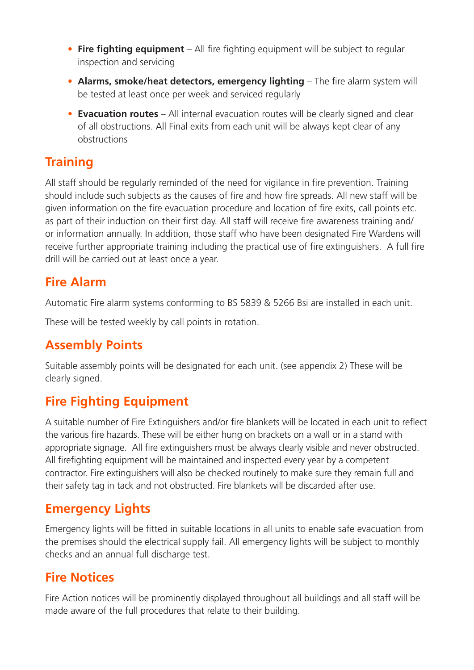- **Fire fighting equipment**  All fire fighting equipment will be subject to regular inspection and servicing
- **Alarms, smoke/heat detectors, emergency lighting** The fire alarm system will be tested at least once per week and serviced regularly
- **Evacuation routes** All internal evacuation routes will be clearly signed and clear of all obstructions. All Final exits from each unit will be always kept clear of any obstructions

#### **Training**

All staff should be regularly reminded of the need for vigilance in fire prevention. Training should include such subjects as the causes of fire and how fire spreads. All new staff will be given information on the fire evacuation procedure and location of fire exits, call points etc. as part of their induction on their first day. All staff will receive fire awareness training and/ or information annually. In addition, those staff who have been designated Fire Wardens will receive further appropriate training including the practical use of fire extinguishers. A full fire drill will be carried out at least once a year.

#### **Fire Alarm**

Automatic Fire alarm systems conforming to BS 5839 & 5266 Bsi are installed in each unit.

These will be tested weekly by call points in rotation.

### **Assembly Points**

Suitable assembly points will be designated for each unit. (see appendix 2) These will be clearly signed.

# **Fire Fighting Equipment**

A suitable number of Fire Extinguishers and/or fire blankets will be located in each unit to reflect the various fire hazards. These will be either hung on brackets on a wall or in a stand with appropriate signage. All fire extinguishers must be always clearly visible and never obstructed. All firefighting equipment will be maintained and inspected every year by a competent contractor. Fire extinguishers will also be checked routinely to make sure they remain full and their safety tag in tack and not obstructed. Fire blankets will be discarded after use.

### **Emergency Lights**

Emergency lights will be fitted in suitable locations in all units to enable safe evacuation from the premises should the electrical supply fail. All emergency lights will be subject to monthly checks and an annual full discharge test.

### **Fire Notices**

Fire Action notices will be prominently displayed throughout all buildings and all staff will be made aware of the full procedures that relate to their building.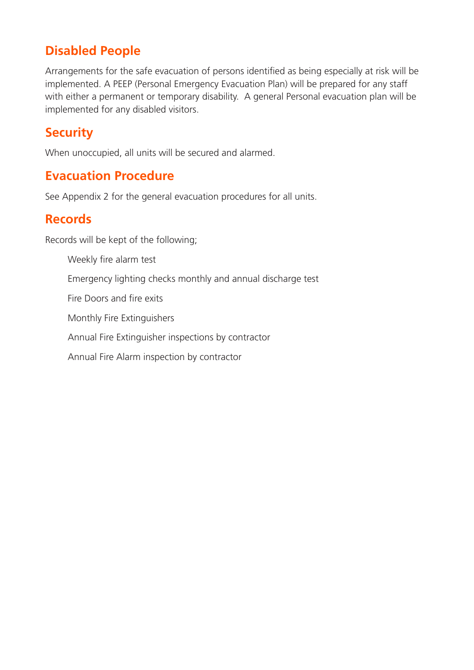#### **Disabled People**

Arrangements for the safe evacuation of persons identified as being especially at risk will be implemented. A PEEP (Personal Emergency Evacuation Plan) will be prepared for any staff with either a permanent or temporary disability. A general Personal evacuation plan will be implemented for any disabled visitors.

#### **Security**

When unoccupied, all units will be secured and alarmed.

#### **Evacuation Procedure**

See Appendix 2 for the general evacuation procedures for all units.

#### **Records**

Records will be kept of the following;

Weekly fire alarm test

Emergency lighting checks monthly and annual discharge test

Fire Doors and fire exits

Monthly Fire Extinguishers

Annual Fire Extinguisher inspections by contractor

Annual Fire Alarm inspection by contractor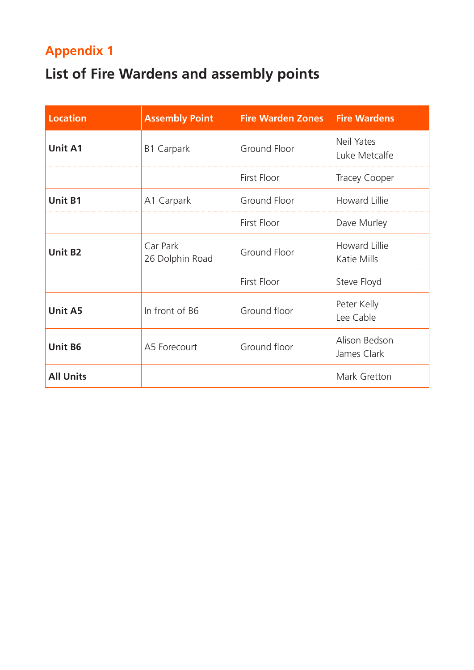# **Appendix 1**

# **List of Fire Wardens and assembly points**

| <b>Location</b>  | <b>Assembly Point</b>       | <b>Fire Warden Zones</b> | <b>Fire Wardens</b>          |
|------------------|-----------------------------|--------------------------|------------------------------|
| <b>Unit A1</b>   | <b>B1 Carpark</b>           | Ground Floor             | Neil Yates<br>Luke Metcalfe  |
|                  |                             | <b>First Floor</b>       | <b>Tracey Cooper</b>         |
| <b>Unit B1</b>   | A1 Carpark                  | Ground Floor             | Howard Lillie                |
|                  |                             | <b>First Floor</b>       | Dave Murley                  |
| <b>Unit B2</b>   | Car Park<br>26 Dolphin Road | Ground Floor             | Howard Lillie<br>Katie Mills |
|                  |                             | First Floor              | Steve Floyd                  |
| <b>Unit A5</b>   | In front of B6              | Ground floor             | Peter Kelly<br>Lee Cable     |
| <b>Unit B6</b>   | A5 Forecourt                | Ground floor             | Alison Bedson<br>James Clark |
| <b>All Units</b> |                             |                          | Mark Gretton                 |